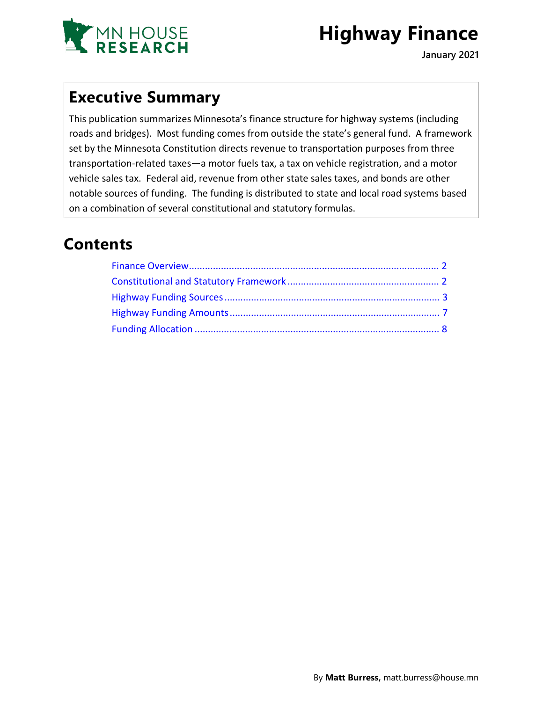

# **Highway Finance**

**January 2021**

### **Executive Summary**

This publication summarizes Minnesota's finance structure for highway systems (including roads and bridges). Most funding comes from outside the state's general fund. A framework set by the Minnesota Constitution directs revenue to transportation purposes from three transportation-related taxes—a motor fuels tax, a tax on vehicle registration, and a motor vehicle sales tax. Federal aid, revenue from other state sales taxes, and bonds are other notable sources of funding. The funding is distributed to state and local road systems based on a combination of several constitutional and statutory formulas.

## **Contents**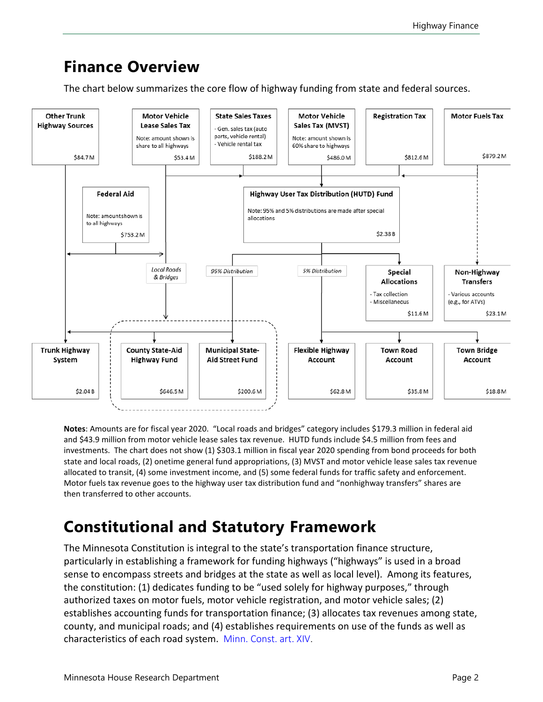### <span id="page-1-0"></span>**Finance Overview**

The chart below summarizes the core flow of highway funding from state and federal sources.



**Notes**: Amounts are for fiscal year 2020. "Local roads and bridges" category includes \$179.3 million in federal aid and \$43.9 million from motor vehicle lease sales tax revenue. HUTD funds include \$4.5 million from fees and investments. The chart does not show (1) \$303.1 million in fiscal year 2020 spending from bond proceeds for both state and local roads, (2) onetime general fund appropriations, (3) MVST and motor vehicle lease sales tax revenue allocated to transit, (4) some investment income, and (5) some federal funds for traffic safety and enforcement. Motor fuels tax revenue goes to the highway user tax distribution fund and "nonhighway transfers" shares are then transferred to other accounts.

# <span id="page-1-1"></span>**Constitutional and Statutory Framework**

The Minnesota Constitution is integral to the state's transportation finance structure, particularly in establishing a framework for funding highways ("highways" is used in a broad sense to encompass streets and bridges at the state as well as local level). Among its features, the constitution: (1) dedicates funding to be "used solely for highway purposes," through authorized taxes on motor fuels, motor vehicle registration, and motor vehicle sales; (2) establishes accounting funds for transportation finance; (3) allocates tax revenues among state, county, and municipal roads; and (4) establishes requirements on use of the funds as well as characteristics of each road system. [Minn. Const. art. XIV](https://www.revisor.mn.gov/constitution/#article_14).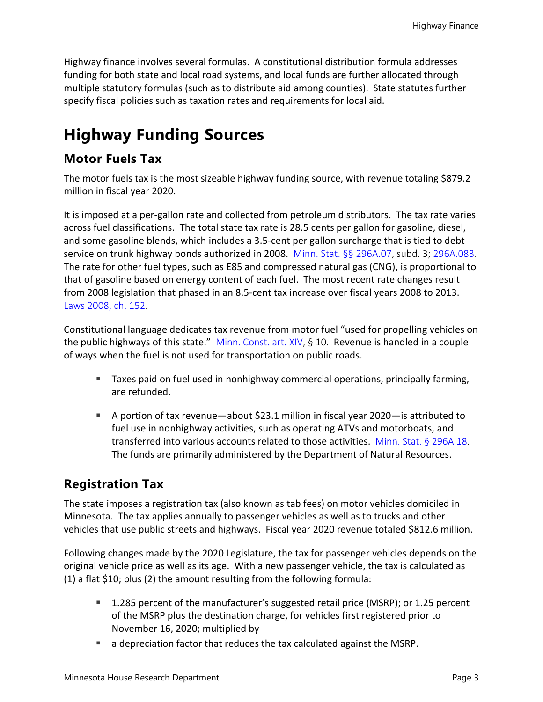Highway finance involves several formulas. A constitutional distribution formula addresses funding for both state and local road systems, and local funds are further allocated through multiple statutory formulas (such as to distribute aid among counties). State statutes further specify fiscal policies such as taxation rates and requirements for local aid.

# <span id="page-2-0"></span>**Highway Funding Sources**

### **Motor Fuels Tax**

The motor fuels tax is the most sizeable highway funding source, with revenue totaling \$879.2 million in fiscal year 2020.

It is imposed at a per-gallon rate and collected from petroleum distributors. The tax rate varies across fuel classifications. The total state tax rate is 28.5 cents per gallon for gasoline, diesel, and some gasoline blends, which includes a 3.5-cent per gallon surcharge that is tied to debt service on trunk highway bonds authorized in 2008. [Minn. Stat. §§ 296A.07,](https://www.revisor.mn.gov/statutes/cite/297A.07) subd. 3; [296A.083.](https://www.revisor.mn.gov/statutes/cite/296A.083) The rate for other fuel types, such as E85 and compressed natural gas (CNG), is proportional to that of gasoline based on energy content of each fuel. The most recent rate changes result from 2008 legislation that phased in an 8.5-cent tax increase over fiscal years 2008 to 2013. [Laws 2008,](https://www.revisor.mn.gov/laws/2008/0/Session+Law/Chapter/152/) ch. 152.

Constitutional language dedicates tax revenue from motor fuel "used for propelling vehicles on the public highways of this state." [Minn. Const. art. XIV,](https://www.revisor.mn.gov/constitution/#article_14) § 10. Revenue is handled in a couple of ways when the fuel is not used for transportation on public roads.

- Taxes paid on fuel used in nonhighway commercial operations, principally farming, are refunded.
- A portion of tax revenue—about \$23.1 million in fiscal year 2020—is attributed to fuel use in nonhighway activities, such as operating ATVs and motorboats, and transferred into various accounts related to those activities. [Minn. Stat. § 296A.18.](https://www.revisor.mn.gov/statutes/cite/296A.18) The funds are primarily administered by the Department of Natural Resources.

### **Registration Tax**

The state imposes a registration tax (also known as tab fees) on motor vehicles domiciled in Minnesota. The tax applies annually to passenger vehicles as well as to trucks and other vehicles that use public streets and highways. Fiscal year 2020 revenue totaled \$812.6 million.

Following changes made by the 2020 Legislature, the tax for passenger vehicles depends on the original vehicle price as well as its age. With a new passenger vehicle, the tax is calculated as (1) a flat \$10; plus (2) the amount resulting from the following formula:

- 1.285 percent of the manufacturer's suggested retail price (MSRP); or 1.25 percent of the MSRP plus the destination charge, for vehicles first registered prior to November 16, 2020; multiplied by
- a depreciation factor that reduces the tax calculated against the MSRP.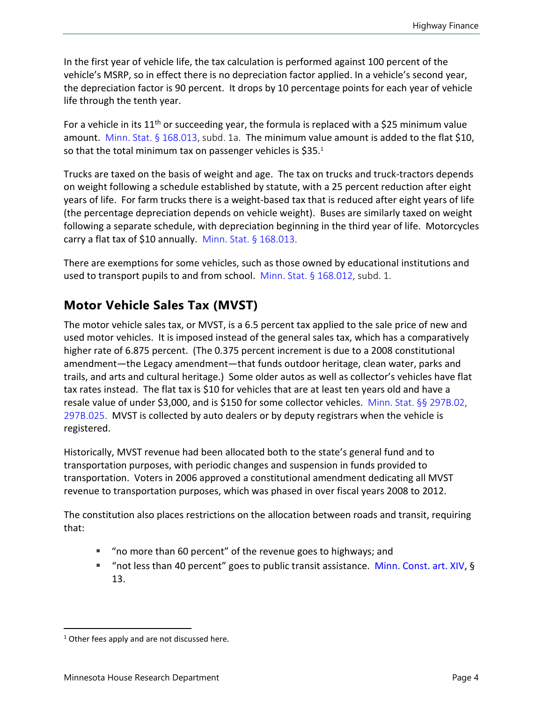In the first year of vehicle life, the tax calculation is performed against 100 percent of the vehicle's MSRP, so in effect there is no depreciation factor applied. In a vehicle's second year, the depreciation factor is 90 percent. It drops by 10 percentage points for each year of vehicle life through the tenth year.

For a vehicle in its  $11<sup>th</sup>$  or succeeding year, the formula is replaced with a \$25 minimum value amount. [Minn. Stat. §](https://www.revisor.mn.gov/statutes/cite/168.013) 168.013, subd. 1a. The minimum value amount is added to the flat \$10, so that the total minimum tax on passenger vehicles is  $$35.^1$  $$35.^1$ 

Trucks are taxed on the basis of weight and age. The tax on trucks and truck-tractors depends on weight following a schedule established by statute, with a 25 percent reduction after eight years of life. For farm trucks there is a weight-based tax that is reduced after eight years of life (the percentage depreciation depends on vehicle weight). Buses are similarly taxed on weight following a separate schedule, with depreciation beginning in the third year of life. Motorcycles carry a flat tax of \$10 annually. Minn. Stat.  $\S$  168.013.

There are exemptions for some vehicles, such as those owned by educational institutions and used to transport pupils to and from school. [Minn. Stat. § 168.012,](https://www.revisor.mn.gov/statutes/cite/168.012) subd. 1.

### **Motor Vehicle Sales Tax (MVST)**

The motor vehicle sales tax, or MVST, is a 6.5 percent tax applied to the sale price of new and used motor vehicles. It is imposed instead of the general sales tax, which has a comparatively higher rate of 6.875 percent. (The 0.375 percent increment is due to a 2008 constitutional amendment—the Legacy amendment—that funds outdoor heritage, clean water, parks and trails, and arts and cultural heritage.) Some older autos as well as collector's vehicles have flat tax rates instead. The flat tax is \$10 for vehicles that are at least ten years old and have a resale value of under \$3,000, and is \$150 for some collector vehicles. [Minn. Stat. §§ 297B.02](https://www.revisor.mn.gov/statutes/cite/297B.02), [297B.025](https://www.revisor.mn.gov/statutes/cite/297B.025). MVST is collected by auto dealers or by deputy registrars when the vehicle is registered.

Historically, MVST revenue had been allocated both to the state's general fund and to transportation purposes, with periodic changes and suspension in funds provided to transportation. Voters in 2006 approved a constitutional amendment dedicating all MVST revenue to transportation purposes, which was phased in over fiscal years 2008 to 2012.

The constitution also places restrictions on the allocation between roads and transit, requiring that:

- "no more than 60 percent" of the revenue goes to highways; and
- "not less than 40 percent" goes to public transit assistance. [Minn. Const.](https://www.revisor.mn.gov/constitution/#article_14) art. XIV, § 13.

<span id="page-3-0"></span> $1$  Other fees apply and are not discussed here.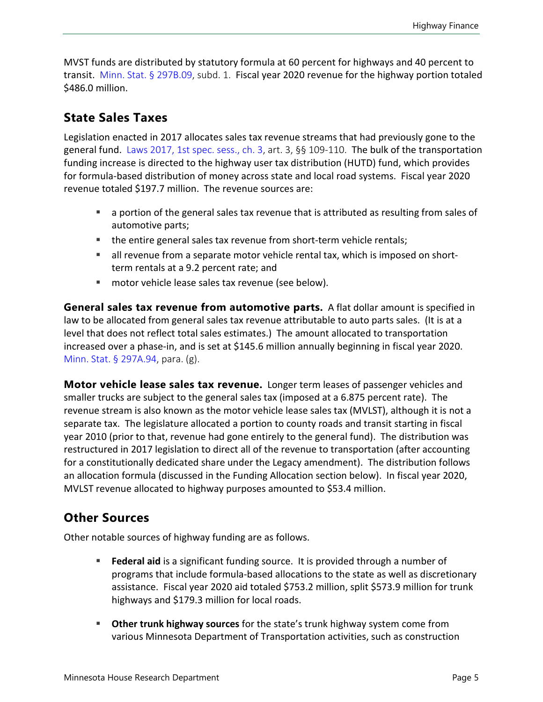MVST funds are distributed by statutory formula at 60 percent for highways and 40 percent to transit. [Minn. Stat. § 297B.09,](https://www.revisor.mn.gov/statutes/cite/297B.09) subd. 1. Fiscal year 2020 revenue for the highway portion totaled \$486.0 million.

#### **State Sales Taxes**

Legislation enacted in 2017 allocates sales tax revenue streams that had previously gone to the general fund. [Laws 2017, 1st spec. sess., ch. 3](https://www.revisor.mn.gov/laws/2017/1/Session+Law/Chapter/3/), art. 3, §§ 109-110. The bulk of the transportation funding increase is directed to the highway user tax distribution (HUTD) fund, which provides for formula-based distribution of money across state and local road systems. Fiscal year 2020 revenue totaled \$197.7 million. The revenue sources are:

- a portion of the general sales tax revenue that is attributed as resulting from sales of automotive parts;
- the entire general sales tax revenue from short-term vehicle rentals;
- all revenue from a separate motor vehicle rental tax, which is imposed on shortterm rentals at a 9.2 percent rate; and
- motor vehicle lease sales tax revenue (see below).

**General sales tax revenue from automotive parts.** A flat dollar amount is specified in law to be allocated from general sales tax revenue attributable to auto parts sales. (It is at a level that does not reflect total sales estimates.) The amount allocated to transportation increased over a phase-in, and is set at \$145.6 million annually beginning in fiscal year 2020. [Minn. Stat. § 297A.94](https://www.revisor.mn.gov/statutes/cite/297A.94), para. (g).

**Motor vehicle lease sales tax revenue.** Longer term leases of passenger vehicles and smaller trucks are subject to the general sales tax (imposed at a 6.875 percent rate). The revenue stream is also known as the motor vehicle lease sales tax (MVLST), although it is not a separate tax. The legislature allocated a portion to county roads and transit starting in fiscal year 2010 (prior to that, revenue had gone entirely to the general fund). The distribution was restructured in 2017 legislation to direct all of the revenue to transportation (after accounting for a constitutionally dedicated share under the Legacy amendment). The distribution follows an allocation formula (discussed in the Funding Allocation section below). In fiscal year 2020, MVLST revenue allocated to highway purposes amounted to \$53.4 million.

### **Other Sources**

Other notable sources of highway funding are as follows.

- **Federal aid** is a significant funding source. It is provided through a number of programs that include formula-based allocations to the state as well as discretionary assistance. Fiscal year 2020 aid totaled \$753.2 million, split \$573.9 million for trunk highways and \$179.3 million for local roads.
- **Other trunk highway sources** for the state's trunk highway system come from various Minnesota Department of Transportation activities, such as construction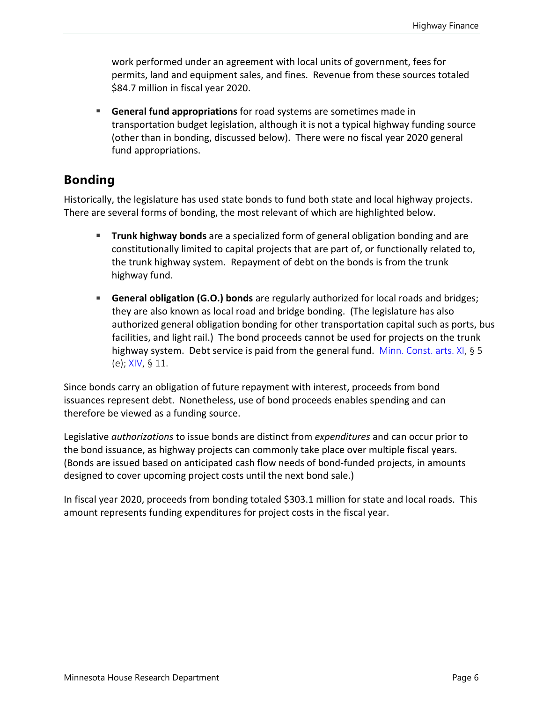work performed under an agreement with local units of government, fees for permits, land and equipment sales, and fines. Revenue from these sources totaled \$84.7 million in fiscal year 2020.

 **General fund appropriations** for road systems are sometimes made in transportation budget legislation, although it is not a typical highway funding source (other than in bonding, discussed below). There were no fiscal year 2020 general fund appropriations.

### **Bonding**

Historically, the legislature has used state bonds to fund both state and local highway projects. There are several forms of bonding, the most relevant of which are highlighted below.

- **Trunk highway bonds** are a specialized form of general obligation bonding and are constitutionally limited to capital projects that are part of, or functionally related to, the trunk highway system. Repayment of debt on the bonds is from the trunk highway fund.
- **General obligation (G.O.) bonds** are regularly authorized for local roads and bridges; they are also known as local road and bridge bonding. (The legislature has also authorized general obligation bonding for other transportation capital such as ports, bus facilities, and light rail.) The bond proceeds cannot be used for projects on the trunk highway system. Debt service is paid from the general fund. [Minn. Const. arts.](https://www.revisor.mn.gov/constitution/#article_11) XI, § 5 (e); [XIV,](https://www.revisor.mn.gov/constitution/#article_14) § 11.

Since bonds carry an obligation of future repayment with interest, proceeds from bond issuances represent debt. Nonetheless, use of bond proceeds enables spending and can therefore be viewed as a funding source.

Legislative *authorizations* to issue bonds are distinct from *expenditures* and can occur prior to the bond issuance, as highway projects can commonly take place over multiple fiscal years. (Bonds are issued based on anticipated cash flow needs of bond-funded projects, in amounts designed to cover upcoming project costs until the next bond sale.)

In fiscal year 2020, proceeds from bonding totaled \$303.1 million for state and local roads. This amount represents funding expenditures for project costs in the fiscal year.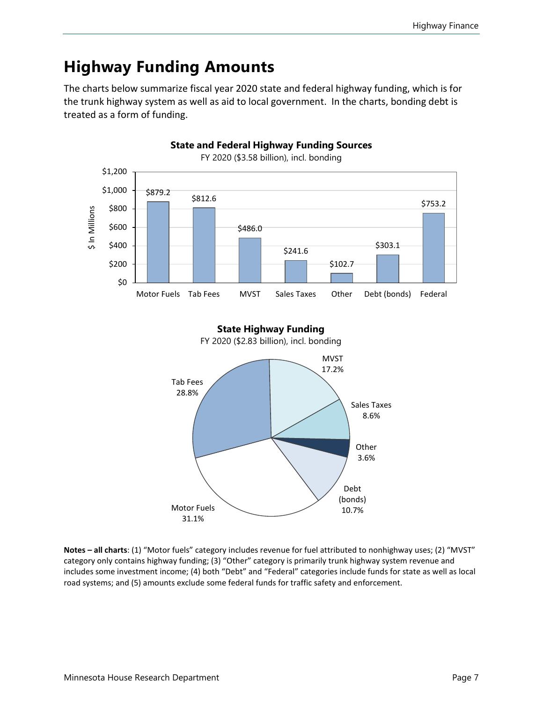# <span id="page-6-0"></span>**Highway Funding Amounts**

The charts below summarize fiscal year 2020 state and federal highway funding, which is for the trunk highway system as well as aid to local government. In the charts, bonding debt is treated as a form of funding.





**Notes – all charts**: (1) "Motor fuels" category includes revenue for fuel attributed to nonhighway uses; (2) "MVST" category only contains highway funding; (3) "Other" category is primarily trunk highway system revenue and includes some investment income; (4) both "Debt" and "Federal" categories include funds for state as well as local road systems; and (5) amounts exclude some federal funds for traffic safety and enforcement.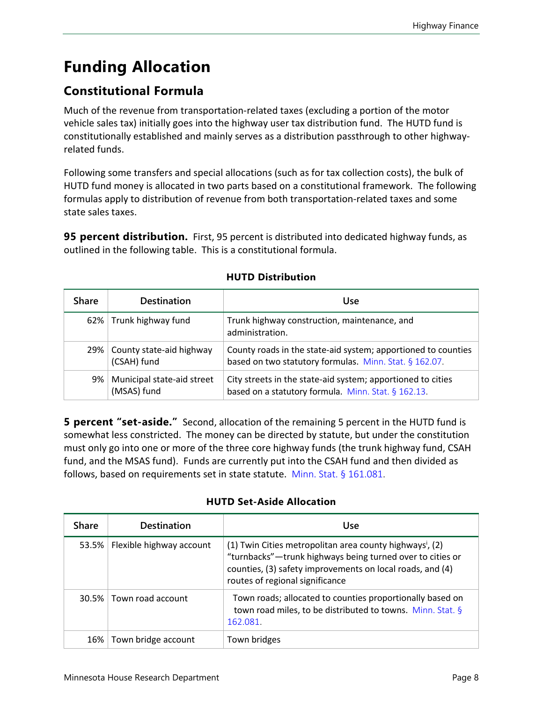# <span id="page-7-0"></span>**Funding Allocation**

### **Constitutional Formula**

Much of the revenue from transportation-related taxes (excluding a portion of the motor vehicle sales tax) initially goes into the highway user tax distribution fund. The HUTD fund is constitutionally established and mainly serves as a distribution passthrough to other highwayrelated funds.

Following some transfers and special allocations (such as for tax collection costs), the bulk of HUTD fund money is allocated in two parts based on a constitutional framework. The following formulas apply to distribution of revenue from both transportation-related taxes and some state sales taxes.

**95 percent distribution.** First, 95 percent is distributed into dedicated highway funds, as outlined in the following table. This is a constitutional formula.

| <b>Share</b> | <b>Destination</b>                        | Use                                                                                                                     |
|--------------|-------------------------------------------|-------------------------------------------------------------------------------------------------------------------------|
| $62\%$       | Trunk highway fund                        | Trunk highway construction, maintenance, and<br>administration.                                                         |
| 29%          | County state-aid highway<br>(CSAH) fund   | County roads in the state-aid system; apportioned to counties<br>based on two statutory formulas. Minn. Stat. § 162.07. |
| 9%           | Municipal state-aid street<br>(MSAS) fund | City streets in the state-aid system; apportioned to cities<br>based on a statutory formula. Minn. Stat. § 162.13.      |

#### **HUTD Distribution**

**5 percent "set-aside."** Second, allocation of the remaining 5 percent in the HUTD fund is somewhat less constricted. The money can be directed by statute, but under the constitution must only go into one or more of the three core highway funds (the trunk highway fund, CSAH fund, and the MSAS fund). Funds are currently put into the CSAH fund and then divided as follows, based on requirements set in state statute. [Minn. Stat. § 161.081.](https://www.revisor.mn.gov/statutes/cite/161.081)

| <b>Share</b> | <b>Destination</b>        | Use                                                                                                                                                                                                                               |
|--------------|---------------------------|-----------------------------------------------------------------------------------------------------------------------------------------------------------------------------------------------------------------------------------|
| 53.5%        | Flexible highway account  | (1) Twin Cities metropolitan area county highways <sup>i</sup> , (2)<br>"turnbacks"-trunk highways being turned over to cities or<br>counties, (3) safety improvements on local roads, and (4)<br>routes of regional significance |
|              | 30.5%   Town road account | Town roads; allocated to counties proportionally based on<br>town road miles, to be distributed to towns. Minn. Stat. §<br>162.081.                                                                                               |
| $16\%$       | Town bridge account       | Town bridges                                                                                                                                                                                                                      |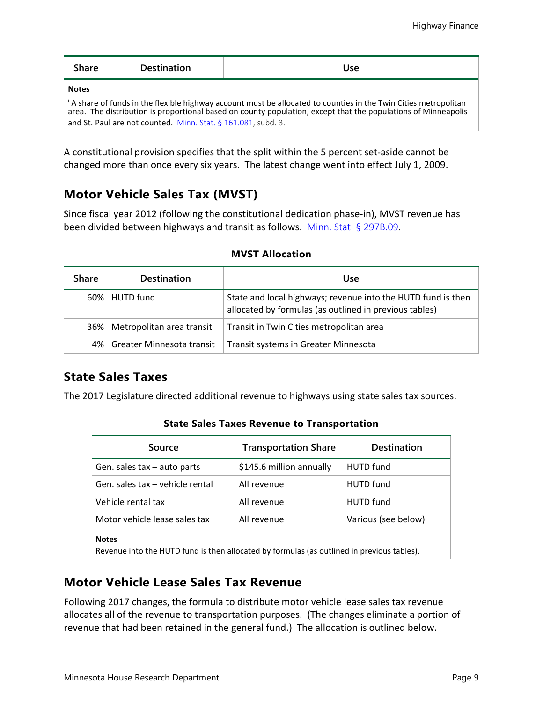| <b>Share</b> | <b>Destination</b>                                            | Use                                                                                                                                                                                                                                          |
|--------------|---------------------------------------------------------------|----------------------------------------------------------------------------------------------------------------------------------------------------------------------------------------------------------------------------------------------|
| <b>Notes</b> | and St. Paul are not counted. Minn. Stat. § 161.081, subd. 3. | <sup>1</sup> A share of funds in the flexible highway account must be allocated to counties in the Twin Cities metropolitan<br>area. The distribution is proportional based on county population, except that the populations of Minneapolis |

A constitutional provision specifies that the split within the 5 percent set-aside cannot be changed more than once every six years. The latest change went into effect July 1, 2009.

### **Motor Vehicle Sales Tax (MVST)**

Since fiscal year 2012 (following the constitutional dedication phase-in), MVST revenue has been divided between highways and transit as follows. [Minn. Stat. § 297B.09.](https://www.revisor.mn.gov/statutes/cite/297B.09)

| <b>Share</b> | <b>Destination</b>        | Use                                                                                                                    |
|--------------|---------------------------|------------------------------------------------------------------------------------------------------------------------|
|              | 60%   HUTD fund           | State and local highways; revenue into the HUTD fund is then<br>allocated by formulas (as outlined in previous tables) |
| $36\%$       | Metropolitan area transit | Transit in Twin Cities metropolitan area                                                                               |
| 4%           | Greater Minnesota transit | Transit systems in Greater Minnesota                                                                                   |

#### **MVST Allocation**

### **State Sales Taxes**

The 2017 Legislature directed additional revenue to highways using state sales tax sources.

|  | <b>State Sales Taxes Revenue to Transportation</b> |
|--|----------------------------------------------------|
|  |                                                    |

| Source                                                                                                     | <b>Transportation Share</b> | <b>Destination</b>  |
|------------------------------------------------------------------------------------------------------------|-----------------------------|---------------------|
| Gen. sales tax - auto parts                                                                                | \$145.6 million annually    | <b>HUTD</b> fund    |
| Gen. sales tax – vehicle rental                                                                            | All revenue                 | <b>HUTD</b> fund    |
| Vehicle rental tax                                                                                         | All revenue                 | <b>HUTD</b> fund    |
| Motor vehicle lease sales tax                                                                              | All revenue                 | Various (see below) |
| <b>Notes</b><br>Revenue into the HUTD fund is then allocated by formulas (as outlined in previous tables). |                             |                     |

### **Motor Vehicle Lease Sales Tax Revenue**

Following 2017 changes, the formula to distribute motor vehicle lease sales tax revenue allocates all of the revenue to transportation purposes. (The changes eliminate a portion of revenue that had been retained in the general fund.) The allocation is outlined below.